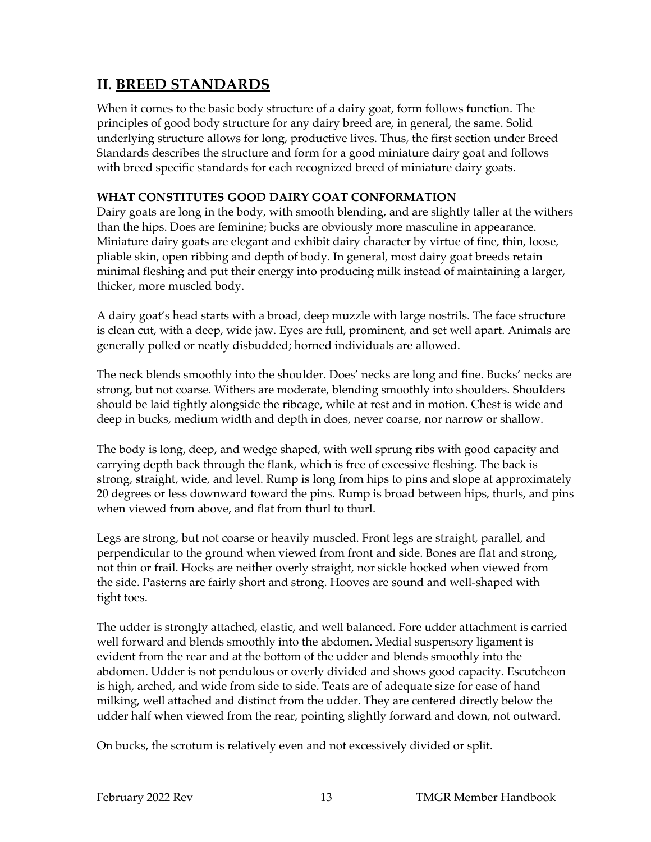# **II. BREED STANDARDS**

When it comes to the basic body structure of a dairy goat, form follows function. The principles of good body structure for any dairy breed are, in general, the same. Solid underlying structure allows for long, productive lives. Thus, the first section under Breed Standards describes the structure and form for a good miniature dairy goat and follows with breed specific standards for each recognized breed of miniature dairy goats.

# **WHAT CONSTITUTES GOOD DAIRY GOAT CONFORMATION**

Dairy goats are long in the body, with smooth blending, and are slightly taller at the withers than the hips. Does are feminine; bucks are obviously more masculine in appearance. Miniature dairy goats are elegant and exhibit dairy character by virtue of fine, thin, loose, pliable skin, open ribbing and depth of body. In general, most dairy goat breeds retain minimal fleshing and put their energy into producing milk instead of maintaining a larger, thicker, more muscled body.

A dairy goat's head starts with a broad, deep muzzle with large nostrils. The face structure is clean cut, with a deep, wide jaw. Eyes are full, prominent, and set well apart. Animals are generally polled or neatly disbudded; horned individuals are allowed.

The neck blends smoothly into the shoulder. Does' necks are long and fine. Bucks' necks are strong, but not coarse. Withers are moderate, blending smoothly into shoulders. Shoulders should be laid tightly alongside the ribcage, while at rest and in motion. Chest is wide and deep in bucks, medium width and depth in does, never coarse, nor narrow or shallow.

The body is long, deep, and wedge shaped, with well sprung ribs with good capacity and carrying depth back through the flank, which is free of excessive fleshing. The back is strong, straight, wide, and level. Rump is long from hips to pins and slope at approximately 20 degrees or less downward toward the pins. Rump is broad between hips, thurls, and pins when viewed from above, and flat from thurl to thurl.

Legs are strong, but not coarse or heavily muscled. Front legs are straight, parallel, and perpendicular to the ground when viewed from front and side. Bones are flat and strong, not thin or frail. Hocks are neither overly straight, nor sickle hocked when viewed from the side. Pasterns are fairly short and strong. Hooves are sound and well-shaped with tight toes.

The udder is strongly attached, elastic, and well balanced. Fore udder attachment is carried well forward and blends smoothly into the abdomen. Medial suspensory ligament is evident from the rear and at the bottom of the udder and blends smoothly into the abdomen. Udder is not pendulous or overly divided and shows good capacity. Escutcheon is high, arched, and wide from side to side. Teats are of adequate size for ease of hand milking, well attached and distinct from the udder. They are centered directly below the udder half when viewed from the rear, pointing slightly forward and down, not outward.

On bucks, the scrotum is relatively even and not excessively divided or split.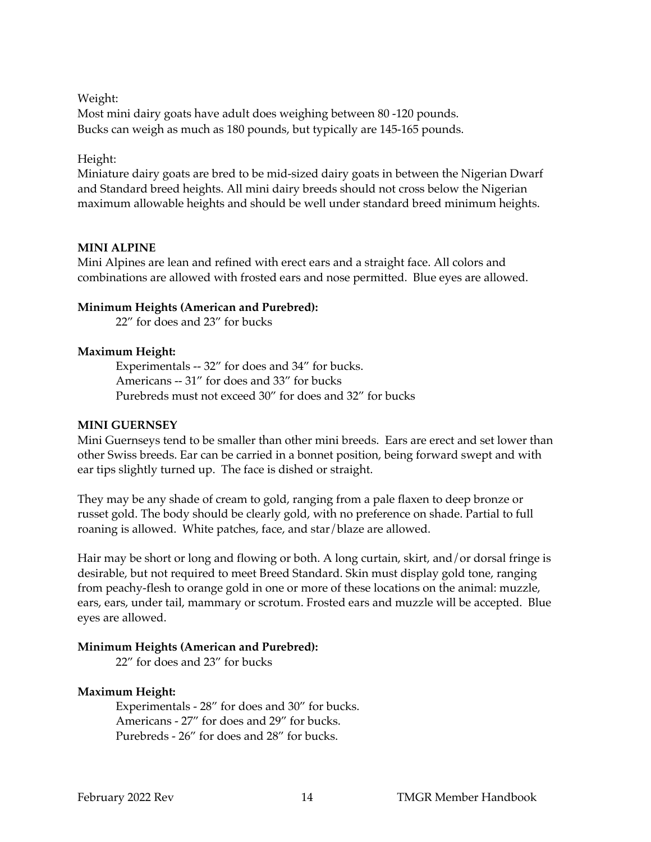Weight:

Most mini dairy goats have adult does weighing between 80 -120 pounds. Bucks can weigh as much as 180 pounds, but typically are 145-165 pounds.

# Height:

Miniature dairy goats are bred to be mid-sized dairy goats in between the Nigerian Dwarf and Standard breed heights. All mini dairy breeds should not cross below the Nigerian maximum allowable heights and should be well under standard breed minimum heights.

#### **MINI ALPINE**

Mini Alpines are lean and refined with erect ears and a straight face. All colors and combinations are allowed with frosted ears and nose permitted. Blue eyes are allowed.

#### **Minimum Heights (American and Purebred):**

22" for does and 23" for bucks

#### **Maximum Height:**

Experimentals -- 32" for does and 34" for bucks. Americans -- 31" for does and 33" for bucks Purebreds must not exceed 30" for does and 32" for bucks

#### **MINI GUERNSEY**

Mini Guernseys tend to be smaller than other mini breeds. Ears are erect and set lower than other Swiss breeds. Ear can be carried in a bonnet position, being forward swept and with ear tips slightly turned up. The face is dished or straight.

They may be any shade of cream to gold, ranging from a pale flaxen to deep bronze or russet gold. The body should be clearly gold, with no preference on shade. Partial to full roaning is allowed. White patches, face, and star/blaze are allowed.

Hair may be short or long and flowing or both. A long curtain, skirt, and/or dorsal fringe is desirable, but not required to meet Breed Standard. Skin must display gold tone, ranging from peachy-flesh to orange gold in one or more of these locations on the animal: muzzle, ears, ears, under tail, mammary or scrotum. Frosted ears and muzzle will be accepted. Blue eyes are allowed.

#### **Minimum Heights (American and Purebred):**

22" for does and 23" for bucks

# **Maximum Height:**

Experimentals - 28" for does and 30" for bucks. Americans - 27" for does and 29" for bucks. Purebreds - 26" for does and 28" for bucks.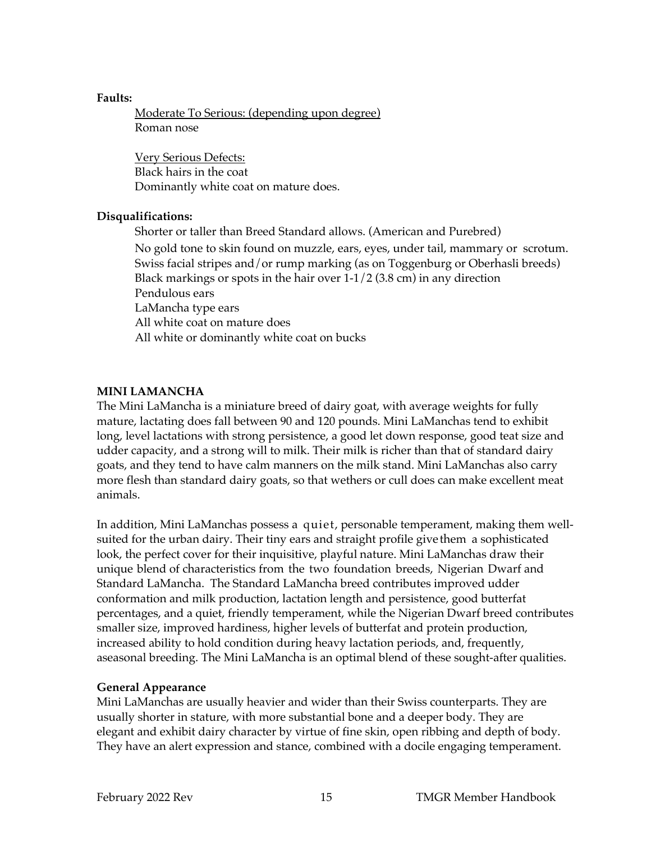## **Faults:**

Moderate To Serious: (depending upon degree) Roman nose

Very Serious Defects: Black hairs in the coat Dominantly white coat on mature does.

# **Disqualifications:**

Shorter or taller than Breed Standard allows. (American and Purebred) No gold tone to skin found on muzzle, ears, eyes, under tail, mammary or scrotum. Swiss facial stripes and/or rump marking (as on Toggenburg or Oberhasli breeds) Black markings or spots in the hair over  $1-1/2$  (3.8 cm) in any direction Pendulous ears LaMancha type ears All white coat on mature does All white or dominantly white coat on bucks

# **MINI LAMANCHA**

The Mini LaMancha is a miniature breed of dairy goat, with average weights for fully mature, lactating does fall between 90 and 120 pounds. Mini LaManchas tend to exhibit long, level lactations with strong persistence, a good let down response, good teat size and udder capacity, and a strong will to milk. Their milk is richer than that of standard dairy goats, and they tend to have calm manners on the milk stand. Mini LaManchas also carry more flesh than standard dairy goats, so that wethers or cull does can make excellent meat animals.

In addition, Mini LaManchas possess a quiet, personable temperament, making them wellsuited for the urban dairy. Their tiny ears and straight profile give them a sophisticated look, the perfect cover for their inquisitive, playful nature. Mini LaManchas draw their unique blend of characteristics from the two foundation breeds, Nigerian Dwarf and Standard LaMancha. The Standard LaMancha breed contributes improved udder conformation and milk production, lactation length and persistence, good butterfat percentages, and a quiet, friendly temperament, while the Nigerian Dwarf breed contributes smaller size, improved hardiness, higher levels of butterfat and protein production, increased ability to hold condition during heavy lactation periods, and, frequently, aseasonal breeding. The Mini LaMancha is an optimal blend of these sought-after qualities.

# **General Appearance**

Mini LaManchas are usually heavier and wider than their Swiss counterparts. They are usually shorter in stature, with more substantial bone and a deeper body. They are elegant and exhibit dairy character by virtue of fine skin, open ribbing and depth of body. They have an alert expression and stance, combined with a docile engaging temperament.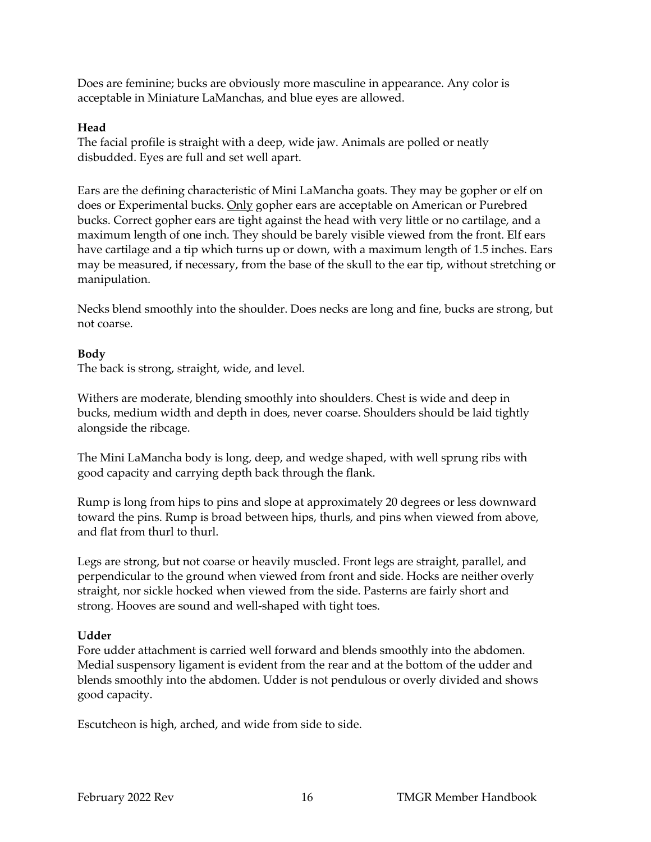Does are feminine; bucks are obviously more masculine in appearance. Any color is acceptable in Miniature LaManchas, and blue eyes are allowed.

## **Head**

The facial profile is straight with a deep, wide jaw. Animals are polled or neatly disbudded. Eyes are full and set well apart.

Ears are the defining characteristic of Mini LaMancha goats. They may be gopher or elf on does or Experimental bucks. Only gopher ears are acceptable on American or Purebred bucks. Correct gopher ears are tight against the head with very little or no cartilage, and a maximum length of one inch. They should be barely visible viewed from the front. Elf ears have cartilage and a tip which turns up or down, with a maximum length of 1.5 inches. Ears may be measured, if necessary, from the base of the skull to the ear tip, without stretching or manipulation.

Necks blend smoothly into the shoulder. Does necks are long and fine, bucks are strong, but not coarse.

# **Body**

The back is strong, straight, wide, and level.

Withers are moderate, blending smoothly into shoulders. Chest is wide and deep in bucks, medium width and depth in does, never coarse. Shoulders should be laid tightly alongside the ribcage.

The Mini LaMancha body is long, deep, and wedge shaped, with well sprung ribs with good capacity and carrying depth back through the flank.

Rump is long from hips to pins and slope at approximately 20 degrees or less downward toward the pins. Rump is broad between hips, thurls, and pins when viewed from above, and flat from thurl to thurl.

Legs are strong, but not coarse or heavily muscled. Front legs are straight, parallel, and perpendicular to the ground when viewed from front and side. Hocks are neither overly straight, nor sickle hocked when viewed from the side. Pasterns are fairly short and strong. Hooves are sound and well-shaped with tight toes.

# **Udder**

Fore udder attachment is carried well forward and blends smoothly into the abdomen. Medial suspensory ligament is evident from the rear and at the bottom of the udder and blends smoothly into the abdomen. Udder is not pendulous or overly divided and shows good capacity.

Escutcheon is high, arched, and wide from side to side.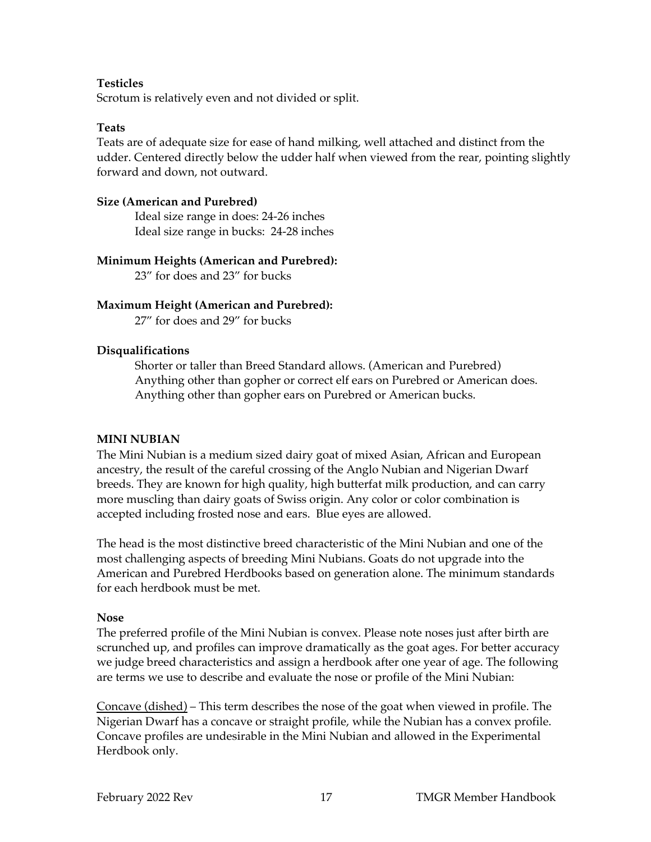# **Testicles**

Scrotum is relatively even and not divided or split.

#### **Teats**

Teats are of adequate size for ease of hand milking, well attached and distinct from the udder. Centered directly below the udder half when viewed from the rear, pointing slightly forward and down, not outward.

## **Size (American and Purebred)**

Ideal size range in does: 24-26 inches Ideal size range in bucks: 24-28 inches

# **Minimum Heights (American and Purebred):**

23" for does and 23" for bucks

# **Maximum Height (American and Purebred):**

27" for does and 29" for bucks

# **Disqualifications**

Shorter or taller than Breed Standard allows. (American and Purebred) Anything other than gopher or correct elf ears on Purebred or American does. Anything other than gopher ears on Purebred or American bucks.

# **MINI NUBIAN**

The Mini Nubian is a medium sized dairy goat of mixed Asian, African and European ancestry, the result of the careful crossing of the Anglo Nubian and Nigerian Dwarf breeds. They are known for high quality, high butterfat milk production, and can carry more muscling than dairy goats of Swiss origin. Any color or color combination is accepted including frosted nose and ears. Blue eyes are allowed.

The head is the most distinctive breed characteristic of the Mini Nubian and one of the most challenging aspects of breeding Mini Nubians. Goats do not upgrade into the American and Purebred Herdbooks based on generation alone. The minimum standards for each herdbook must be met.

#### **Nose**

The preferred profile of the Mini Nubian is convex. Please note noses just after birth are scrunched up, and profiles can improve dramatically as the goat ages. For better accuracy we judge breed characteristics and assign a herdbook after one year of age. The following are terms we use to describe and evaluate the nose or profile of the Mini Nubian:

Concave (dished) – This term describes the nose of the goat when viewed in profile. The Nigerian Dwarf has a concave or straight profile, while the Nubian has a convex profile. Concave profiles are undesirable in the Mini Nubian and allowed in the Experimental Herdbook only.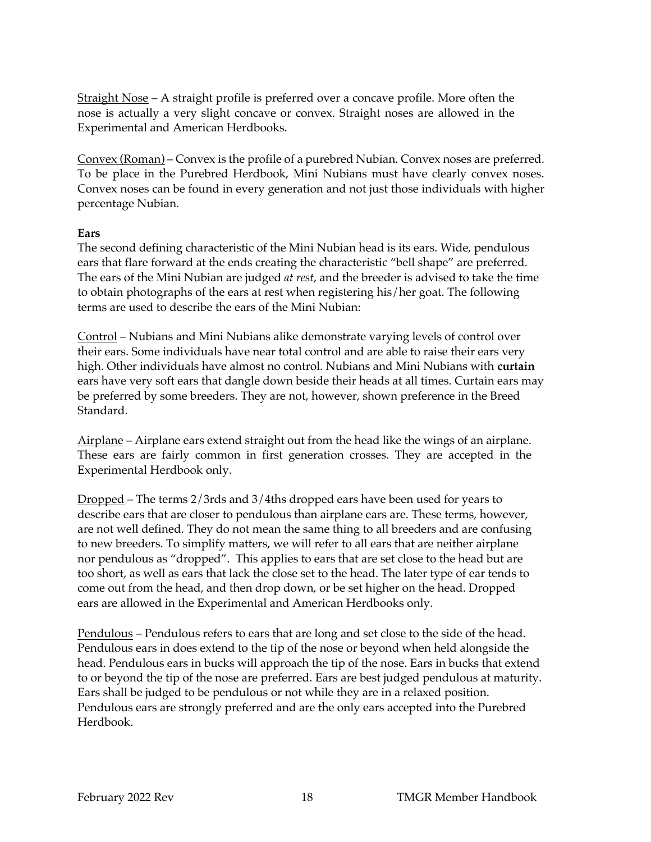Straight Nose – A straight profile is preferred over a concave profile. More often the nose is actually a very slight concave or convex. Straight noses are allowed in the Experimental and American Herdbooks.

Convex (Roman) – Convex is the profile of a purebred Nubian. Convex noses are preferred. To be place in the Purebred Herdbook, Mini Nubians must have clearly convex noses. Convex noses can be found in every generation and not just those individuals with higher percentage Nubian.

#### **Ears**

The second defining characteristic of the Mini Nubian head is its ears. Wide, pendulous ears that flare forward at the ends creating the characteristic "bell shape" are preferred. The ears of the Mini Nubian are judged *at rest*, and the breeder is advised to take the time to obtain photographs of the ears at rest when registering his/her goat. The following terms are used to describe the ears of the Mini Nubian:

Control – Nubians and Mini Nubians alike demonstrate varying levels of control over their ears. Some individuals have near total control and are able to raise their ears very high. Other individuals have almost no control. Nubians and Mini Nubians with **curtain**  ears have very soft ears that dangle down beside their heads at all times. Curtain ears may be preferred by some breeders. They are not, however, shown preference in the Breed Standard.

Airplane – Airplane ears extend straight out from the head like the wings of an airplane. These ears are fairly common in first generation crosses. They are accepted in the Experimental Herdbook only.

Dropped – The terms 2/3rds and 3/4ths dropped ears have been used for years to describe ears that are closer to pendulous than airplane ears are. These terms, however, are not well defined. They do not mean the same thing to all breeders and are confusing to new breeders. To simplify matters, we will refer to all ears that are neither airplane nor pendulous as "dropped". This applies to ears that are set close to the head but are too short, as well as ears that lack the close set to the head. The later type of ear tends to come out from the head, and then drop down, or be set higher on the head. Dropped ears are allowed in the Experimental and American Herdbooks only.

Pendulous – Pendulous refers to ears that are long and set close to the side of the head. Pendulous ears in does extend to the tip of the nose or beyond when held alongside the head. Pendulous ears in bucks will approach the tip of the nose. Ears in bucks that extend to or beyond the tip of the nose are preferred. Ears are best judged pendulous at maturity. Ears shall be judged to be pendulous or not while they are in a relaxed position. Pendulous ears are strongly preferred and are the only ears accepted into the Purebred Herdbook.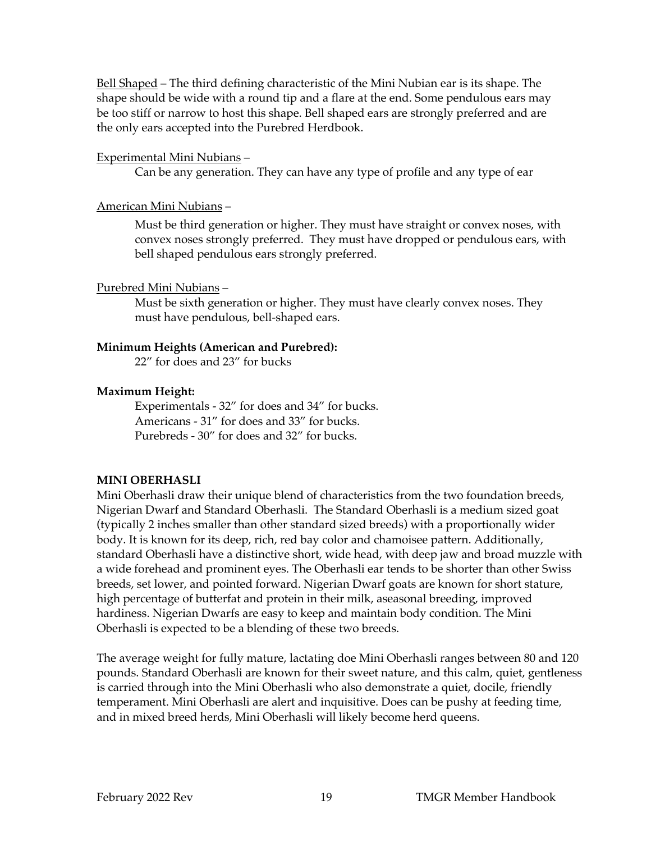Bell Shaped – The third defining characteristic of the Mini Nubian ear is its shape. The shape should be wide with a round tip and a flare at the end. Some pendulous ears may be too stiff or narrow to host this shape. Bell shaped ears are strongly preferred and are the only ears accepted into the Purebred Herdbook.

# Experimental Mini Nubians –

Can be any generation. They can have any type of profile and any type of ear

# American Mini Nubians –

Must be third generation or higher. They must have straight or convex noses, with convex noses strongly preferred. They must have dropped or pendulous ears, with bell shaped pendulous ears strongly preferred.

#### Purebred Mini Nubians –

Must be sixth generation or higher. They must have clearly convex noses. They must have pendulous, bell-shaped ears.

#### **Minimum Heights (American and Purebred):**

22" for does and 23" for bucks

#### **Maximum Height:**

Experimentals - 32" for does and 34" for bucks. Americans - 31" for does and 33" for bucks. Purebreds - 30" for does and 32" for bucks.

# **MINI OBERHASLI**

Mini Oberhasli draw their unique blend of characteristics from the two foundation breeds, Nigerian Dwarf and Standard Oberhasli. The Standard Oberhasli is a medium sized goat (typically 2 inches smaller than other standard sized breeds) with a proportionally wider body. It is known for its deep, rich, red bay color and chamoisee pattern. Additionally, standard Oberhasli have a distinctive short, wide head, with deep jaw and broad muzzle with a wide forehead and prominent eyes. The Oberhasli ear tends to be shorter than other Swiss breeds, set lower, and pointed forward. Nigerian Dwarf goats are known for short stature, high percentage of butterfat and protein in their milk, aseasonal breeding, improved hardiness. Nigerian Dwarfs are easy to keep and maintain body condition. The Mini Oberhasli is expected to be a blending of these two breeds.

The average weight for fully mature, lactating doe Mini Oberhasli ranges between 80 and 120 pounds. Standard Oberhasli are known for their sweet nature, and this calm, quiet, gentleness is carried through into the Mini Oberhasli who also demonstrate a quiet, docile, friendly temperament. Mini Oberhasli are alert and inquisitive. Does can be pushy at feeding time, and in mixed breed herds, Mini Oberhasli will likely become herd queens.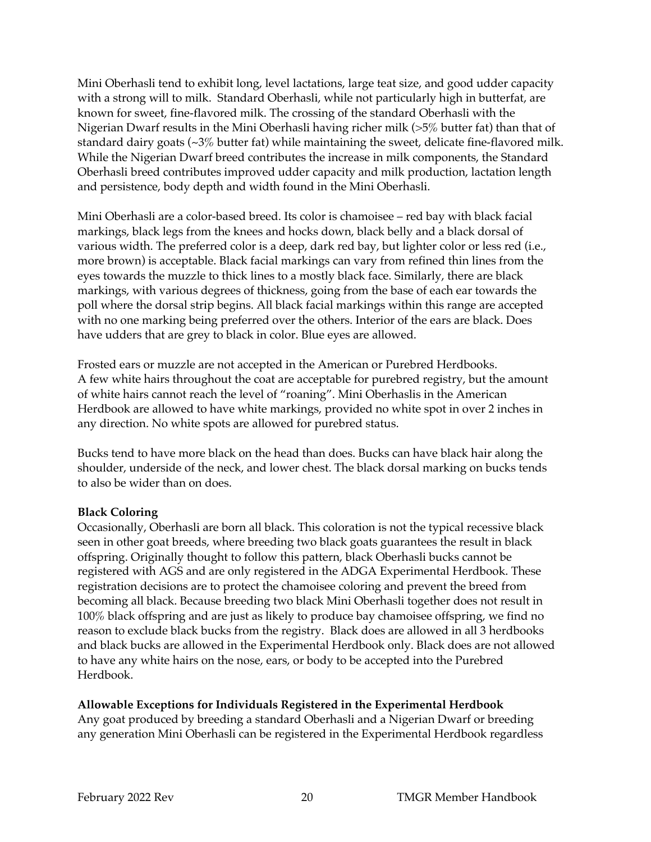Mini Oberhasli tend to exhibit long, level lactations, large teat size, and good udder capacity with a strong will to milk. Standard Oberhasli, while not particularly high in butterfat, are known for sweet, fine-flavored milk. The crossing of the standard Oberhasli with the Nigerian Dwarf results in the Mini Oberhasli having richer milk (>5% butter fat) than that of standard dairy goats (~3% butter fat) while maintaining the sweet, delicate fine-flavored milk. While the Nigerian Dwarf breed contributes the increase in milk components, the Standard Oberhasli breed contributes improved udder capacity and milk production, lactation length and persistence, body depth and width found in the Mini Oberhasli.

Mini Oberhasli are a color-based breed. Its color is chamoisee – red bay with black facial markings, black legs from the knees and hocks down, black belly and a black dorsal of various width. The preferred color is a deep, dark red bay, but lighter color or less red (i.e., more brown) is acceptable. Black facial markings can vary from refined thin lines from the eyes towards the muzzle to thick lines to a mostly black face. Similarly, there are black markings, with various degrees of thickness, going from the base of each ear towards the poll where the dorsal strip begins. All black facial markings within this range are accepted with no one marking being preferred over the others. Interior of the ears are black. Does have udders that are grey to black in color. Blue eyes are allowed.

Frosted ears or muzzle are not accepted in the American or Purebred Herdbooks. A few white hairs throughout the coat are acceptable for purebred registry, but the amount of white hairs cannot reach the level of "roaning". Mini Oberhaslis in the American Herdbook are allowed to have white markings, provided no white spot in over 2 inches in any direction. No white spots are allowed for purebred status.

Bucks tend to have more black on the head than does. Bucks can have black hair along the shoulder, underside of the neck, and lower chest. The black dorsal marking on bucks tends to also be wider than on does.

# **Black Coloring**

Occasionally, Oberhasli are born all black. This coloration is not the typical recessive black seen in other goat breeds, where breeding two black goats guarantees the result in black offspring. Originally thought to follow this pattern, black Oberhasli bucks cannot be registered with AGS and are only registered in the ADGA Experimental Herdbook. These registration decisions are to protect the chamoisee coloring and prevent the breed from becoming all black. Because breeding two black Mini Oberhasli together does not result in 100% black offspring and are just as likely to produce bay chamoisee offspring, we find no reason to exclude black bucks from the registry. Black does are allowed in all 3 herdbooks and black bucks are allowed in the Experimental Herdbook only. Black does are not allowed to have any white hairs on the nose, ears, or body to be accepted into the Purebred Herdbook.

# **Allowable Exceptions for Individuals Registered in the Experimental Herdbook**

Any goat produced by breeding a standard Oberhasli and a Nigerian Dwarf or breeding any generation Mini Oberhasli can be registered in the Experimental Herdbook regardless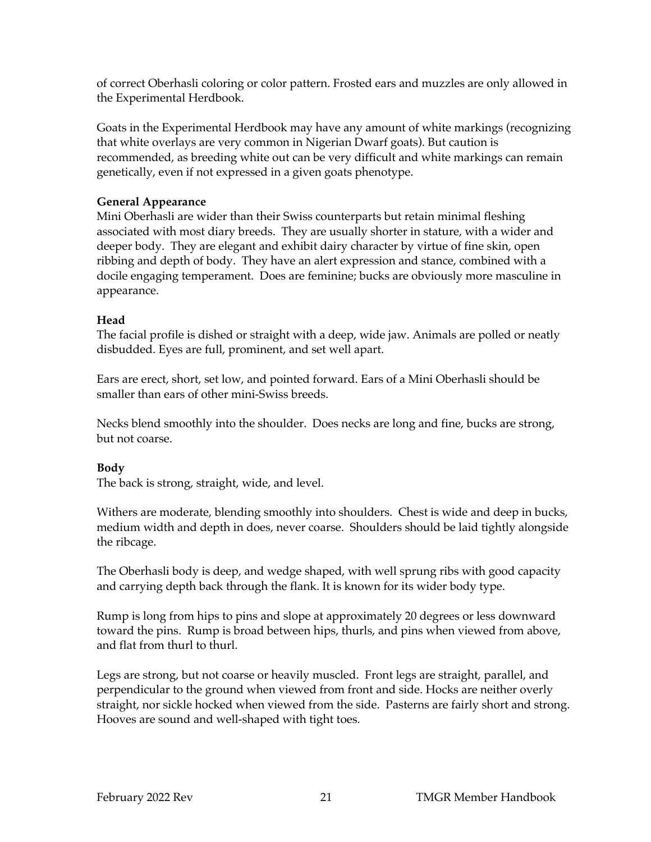of correct Oberhasli coloring or color pattern. Frosted ears and muzzles are only allowed in the Experimental Herdbook.

Goats in the Experimental Herdbook may have any amount of white markings (recognizing that white overlays are very common in Nigerian Dwarf goats). But caution is recommended, as breeding white out can be very difficult and white markings can remain genetically, even if not expressed in a given goats phenotype.

# **General Appearance**

Mini Oberhasli are wider than their Swiss counterparts but retain minimal fleshing associated with most diary breeds. They are usually shorter in stature, with a wider and deeper body. They are elegant and exhibit dairy character by virtue of fine skin, open ribbing and depth of body. They have an alert expression and stance, combined with a docile engaging temperament. Does are feminine; bucks are obviously more masculine in appearance.

# **Head**

The facial profile is dished or straight with a deep, wide jaw. Animals are polled or neatly disbudded. Eyes are full, prominent, and set well apart.

Ears are erect, short, set low, and pointed forward. Ears of a Mini Oberhasli should be smaller than ears of other mini-Swiss breeds.

Necks blend smoothly into the shoulder. Does necks are long and fine, bucks are strong, but not coarse.

# **Body**

The back is strong, straight, wide, and level.

Withers are moderate, blending smoothly into shoulders. Chest is wide and deep in bucks, medium width and depth in does, never coarse. Shoulders should be laid tightly alongside the ribcage.

The Oberhasli body is deep, and wedge shaped, with well sprung ribs with good capacity and carrying depth back through the flank. It is known for its wider body type.

Rump is long from hips to pins and slope at approximately 20 degrees or less downward toward the pins. Rump is broad between hips, thurls, and pins when viewed from above, and flat from thurl to thurl.

Legs are strong, but not coarse or heavily muscled. Front legs are straight, parallel, and perpendicular to the ground when viewed from front and side. Hocks are neither overly straight, nor sickle hocked when viewed from the side. Pasterns are fairly short and strong. Hooves are sound and well-shaped with tight toes.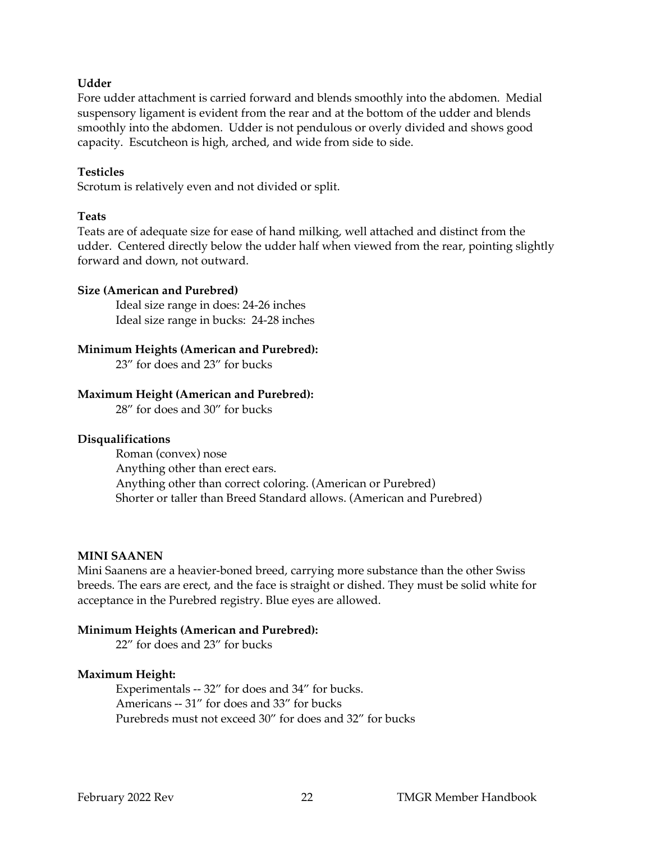#### **Udder**

Fore udder attachment is carried forward and blends smoothly into the abdomen. Medial suspensory ligament is evident from the rear and at the bottom of the udder and blends smoothly into the abdomen. Udder is not pendulous or overly divided and shows good capacity. Escutcheon is high, arched, and wide from side to side.

#### **Testicles**

Scrotum is relatively even and not divided or split.

#### **Teats**

Teats are of adequate size for ease of hand milking, well attached and distinct from the udder. Centered directly below the udder half when viewed from the rear, pointing slightly forward and down, not outward.

#### **Size (American and Purebred)**

Ideal size range in does: 24-26 inches Ideal size range in bucks: 24-28 inches

#### **Minimum Heights (American and Purebred):**

23" for does and 23" for bucks

#### **Maximum Height (American and Purebred):**

28" for does and 30" for bucks

#### **Disqualifications**

Roman (convex) nose Anything other than erect ears. Anything other than correct coloring. (American or Purebred) Shorter or taller than Breed Standard allows. (American and Purebred)

#### **MINI SAANEN**

Mini Saanens are a heavier-boned breed, carrying more substance than the other Swiss breeds. The ears are erect, and the face is straight or dished. They must be solid white for acceptance in the Purebred registry. Blue eyes are allowed.

#### **Minimum Heights (American and Purebred):**

22" for does and 23" for bucks

#### **Maximum Height:**

Experimentals -- 32" for does and 34" for bucks. Americans -- 31" for does and 33" for bucks Purebreds must not exceed 30" for does and 32" for bucks